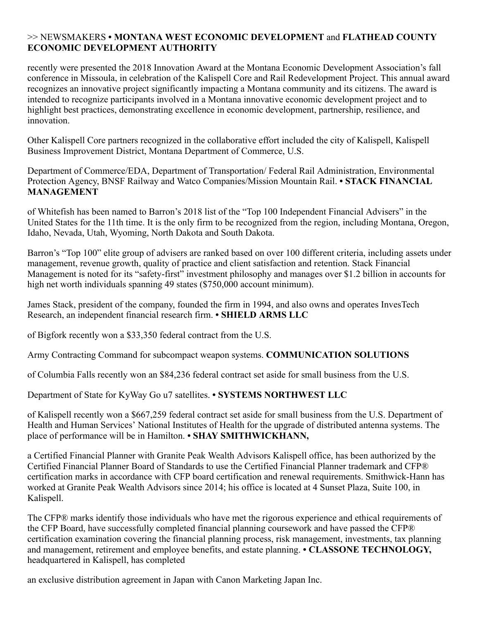## >> NEWSMAKERS **• MONTANA WEST ECONOMIC DEVELOPMENT** and **FLATHEAD COUNTY ECONOMIC DEVELOPMENT AUTHORITY**

recently were presented the 2018 Innovation Award at the Montana Economic Development Association's fall conference in Missoula, in celebration of the Kalispell Core and Rail Redevelopment Project. This annual award recognizes an innovative project significantly impacting a Montana community and its citizens. The award is intended to recognize participants involved in a Montana innovative economic development project and to highlight best practices, demonstrating excellence in economic development, partnership, resilience, and innovation.

Other Kalispell Core partners recognized in the collaborative effort included the city of Kalispell, Kalispell Business Improvement District, Montana Department of Commerce, U.S.

Department of Commerce/EDA, Department of Transportation/ Federal Rail Administration, Environmental Protection Agency, BNSF Railway and Watco Companies/Mission Mountain Rail. **• STACK FINANCIAL MANAGEMENT**

of Whitefish has been named to Barron's 2018 list of the "Top 100 Independent Financial Advisers" in the United States for the 11th time. It is the only firm to be recognized from the region, including Montana, Oregon, Idaho, Nevada, Utah, Wyoming, North Dakota and South Dakota.

Barron's "Top 100" elite group of advisers are ranked based on over 100 different criteria, including assets under management, revenue growth, quality of practice and client satisfaction and retention. Stack Financial Management is noted for its "safety-first" investment philosophy and manages over \$1.2 billion in accounts for high net worth individuals spanning 49 states (\$750,000 account minimum).

James Stack, president of the company, founded the firm in 1994, and also owns and operates InvesTech Research, an independent financial research firm. **• SHIELD ARMS LLC**

of Bigfork recently won a \$33,350 federal contract from the U.S.

Army Contracting Command for subcompact weapon systems. **COMMUNICATION SOLUTIONS**

of Columbia Falls recently won an \$84,236 federal contract set aside for small business from the U.S.

Department of State for KyWay Go u7 satellites. **• SYSTEMS NORTHWEST LLC**

of Kalispell recently won a \$667,259 federal contract set aside for small business from the U.S. Department of Health and Human Services' National Institutes of Health for the upgrade of distributed antenna systems. The place of performance will be in Hamilton. **• SHAY SMITHWICKHANN,**

a Certified Financial Planner with Granite Peak Wealth Advisors Kalispell office, has been authorized by the Certified Financial Planner Board of Standards to use the Certified Financial Planner trademark and CFP® certification marks in accordance with CFP board certification and renewal requirements. Smithwick-Hann has worked at Granite Peak Wealth Advisors since 2014; his office is located at 4 Sunset Plaza, Suite 100, in Kalispell.

The CFP® marks identify those individuals who have met the rigorous experience and ethical requirements of the CFP Board, have successfully completed financial planning coursework and have passed the CFP® certification examination covering the financial planning process, risk management, investments, tax planning and management, retirement and employee benefits, and estate planning. **• CLASSONE TECHNOLOGY,** headquartered in Kalispell, has completed

an exclusive distribution agreement in Japan with Canon Marketing Japan Inc.